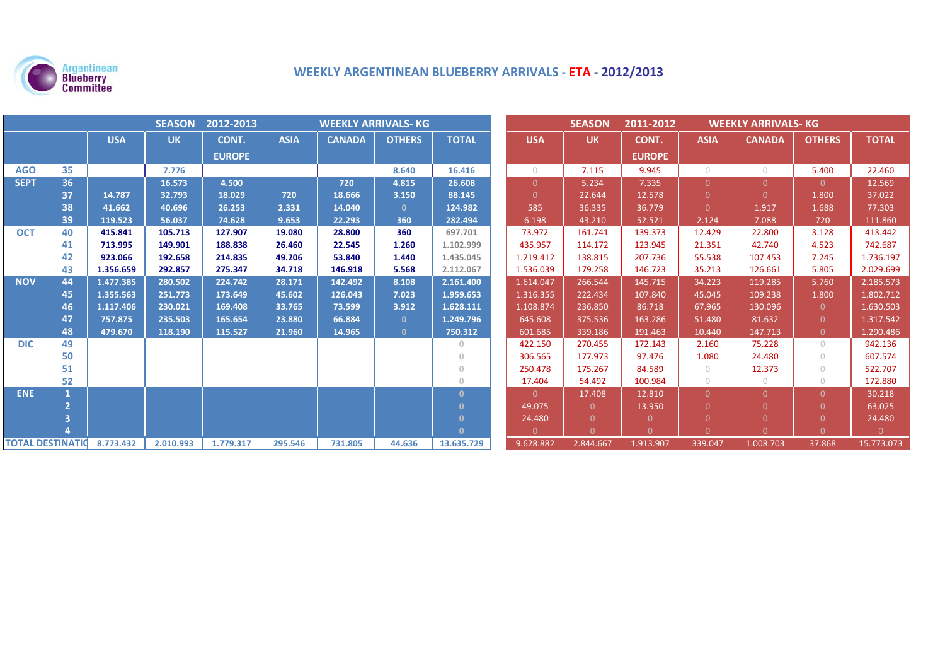

# **WEEKLY ARGENTINEAN BLUEBERRY ARRIVALS ‐ ETA ‐ 2012/2013**

| <b>SEASON</b><br>2012-2013<br><b>WEEKLY ARRIVALS- KG</b> |    |            |           |               |             |               |               |              | <b>SEASON</b>  | 2011-2012<br><b>WEEKLY ARRIVALS- KG</b> |               |             |               |                |              |
|----------------------------------------------------------|----|------------|-----------|---------------|-------------|---------------|---------------|--------------|----------------|-----------------------------------------|---------------|-------------|---------------|----------------|--------------|
|                                                          |    | <b>USA</b> | <b>UK</b> | CONT.         | <b>ASIA</b> | <b>CANADA</b> | <b>OTHERS</b> | <b>TOTAL</b> | <b>USA</b>     | <b>UK</b>                               | CONT.         | <b>ASIA</b> | <b>CANADA</b> | <b>OTHERS</b>  | <b>TOTAL</b> |
|                                                          |    |            |           | <b>EUROPE</b> |             |               |               |              |                |                                         | <b>EUROPE</b> |             |               |                |              |
| <b>AGO</b>                                               | 35 |            | 7.776     |               |             |               | 8.640         | 16.416       | $\bigcirc$     | 7.115                                   | 9.945         | $\bigcirc$  | $\circ$       | 5.400          | 22.460       |
| <b>SEPT</b>                                              | 36 |            | 16.573    | 4.500         |             | 720           | 4.815         | 26.608       | $\Omega$       | 5.234                                   | 7.335         | $\Omega$    | $\Omega$      | $\Omega$       | 12.569       |
|                                                          | 37 | 14.787     | 32.793    | 18.029        | 720         | 18.666        | 3.150         | 88.145       | $\Omega$       | 22.644                                  | 12.578        | $\Omega$    | $\Omega$      | 1.800          | 37.022       |
|                                                          | 38 | 41.662     | 40.696    | 26.253        | 2.331       | 14.040        | $\mathbf{0}$  | 124.982      | 585            | 36.335                                  | 36.779        | $\Omega$    | 1.917         | 1.688          | 77.303       |
|                                                          | 39 | 119.523    | 56.037    | 74.628        | 9.653       | 22.293        | 360           | 282.494      | 6.198          | 43.210                                  | 52.521        | 2.124       | 7.088         | 720            | 111.860      |
| <b>OCT</b>                                               | 40 | 415.841    | 105.713   | 127.907       | 19.080      | 28.800        | 360           | 697.701      | 73.972         | 161.741                                 | 139.373       | 12.429      | 22.800        | 3.128          | 413.442      |
|                                                          | 41 | 713.995    | 149.901   | 188.838       | 26.460      | 22.545        | 1.260         | 1.102.999    | 435.957        | 114.172                                 | 123.945       | 21.351      | 42.740        | 4.523          | 742.687      |
|                                                          | 42 | 923.066    | 192.658   | 214.835       | 49.206      | 53.840        | 1.440         | 1.435.045    | 1.219.412      | 138.815                                 | 207.736       | 55.538      | 107.453       | 7.245          | 1.736.197    |
|                                                          | 43 | 1.356.659  | 292.857   | 275.347       | 34.718      | 146.918       | 5.568         | 2.112.067    | 1.536.039      | 179.258                                 | 146.723       | 35.213      | 126.661       | 5.805          | 2.029.699    |
| <b>NOV</b>                                               | 44 | 1.477.385  | 280.502   | 224.742       | 28.171      | 142.492       | 8.108         | 2.161.400    | 1.614.047      | 266.544                                 | 145.715       | 34.223      | 119.285       | 5.760          | 2.185.573    |
|                                                          | 45 | 1.355.563  | 251.773   | 173.649       | 45.602      | 126.043       | 7.023         | 1.959.653    | 1.316.355      | 222.434                                 | 107.840       | 45.045      | 109.238       | 1.800          | 1.802.712    |
|                                                          | 46 | 1.117.406  | 230.021   | 169.408       | 33.765      | 73.599        | 3.912         | 1.628.111    | 1.108.874      | 236.850                                 | 86.718        | 67.965      | 130.096       | $\overline{0}$ | 1.630.503    |
|                                                          | 47 | 757.875    | 235.503   | 165.654       | 23.880      | 66.884        | $\mathbf{0}$  | 1.249.796    | 645.608        | 375.536                                 | 163.286       | 51.480      | 81.632        | $\Omega$       | 1.317.542    |
|                                                          | 48 | 479.670    | 118.190   | 115.527       | 21.960      | 14.965        | $\mathbf{0}$  | 750.312      | 601.685        | 339.186                                 | 191.463       | 10.440      | 147.713       | $\overline{0}$ | 1.290.486    |
| <b>DIC</b>                                               | 49 |            |           |               |             |               |               | $\circ$      | 422.150        | 270.455                                 | 172.143       | 2.160       | 75.228        | $\bigcirc$     | 942.136      |
|                                                          | 50 |            |           |               |             |               |               | $\Omega$     | 306.565        | 177.973                                 | 97.476        | 1.080       | 24.480        | $\bigcap$      | 607.574      |
|                                                          | 51 |            |           |               |             |               |               | $\mathbf{0}$ | 250.478        | 175.267                                 | 84.589        | $\bigcirc$  | 12.373        | $\bigcirc$     | 522.707      |
|                                                          | 52 |            |           |               |             |               |               | $\cup$       | 17.404         | 54.492                                  | 100.984       | $\bigcirc$  | $\circ$       | $\bigcirc$     | 172.880      |
| <b>ENE</b>                                               |    |            |           |               |             |               |               | $\mathbf{0}$ | $\overline{0}$ | 17.408                                  | 12.810        | $\Omega$    | $\Omega$      | $\Omega$       | 30.218       |
|                                                          |    |            |           |               |             |               |               | $\Omega$     | 49.075         | $\Omega$                                | 13.950        | $\Omega$    |               | $\Omega$       | 63.025       |
|                                                          |    |            |           |               |             |               |               | $\Omega$     | 24.480         | $\Omega$                                | $\Omega$      |             |               |                | 24.480       |
|                                                          |    |            |           |               |             |               |               | $\Omega$     | $\Omega$       | $\cap$                                  | $\Omega$      | $\Omega$    |               |                | $\Omega$     |
| <b>TOTAL DESTINATIO</b>                                  |    | 8.773.432  | 2.010.993 | 1.779.317     | 295.546     | 731.805       | 44.636        | 13.635.729   | 9.628.882      | 2.844.667                               | 1.913.907     | 339.047     | 1.008.703     | 37.868         | 15.773.073   |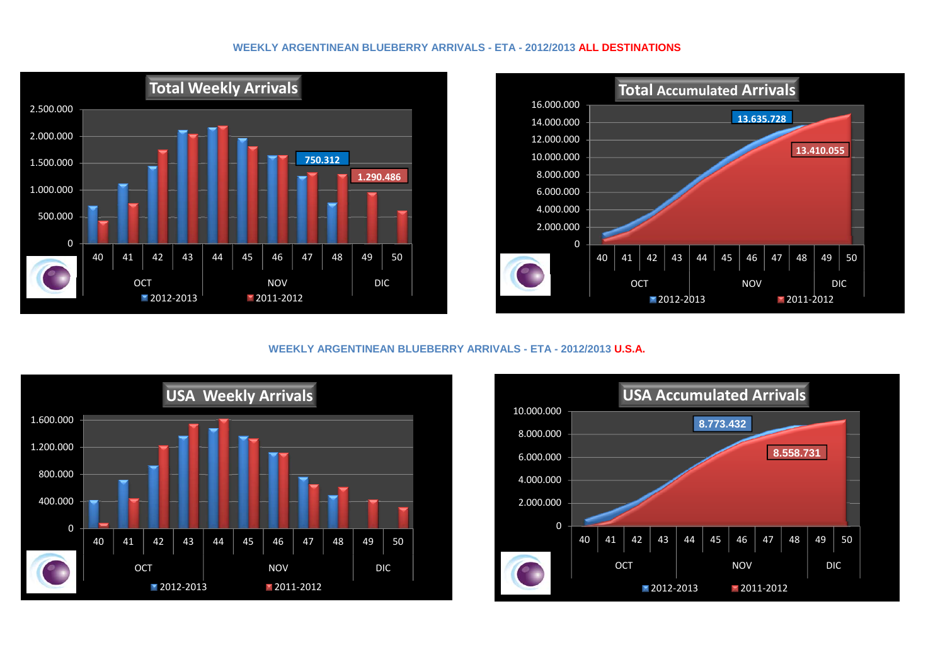## **WEEKLY ARGENTINEAN BLUEBERRY ARRIVALS - ETA - 2012/2013 ALL DESTINATIONS**





# **WEEKLY ARGENTINEAN BLUEBERRY ARRIVALS - ETA - 2012/2013 U.S.A.**



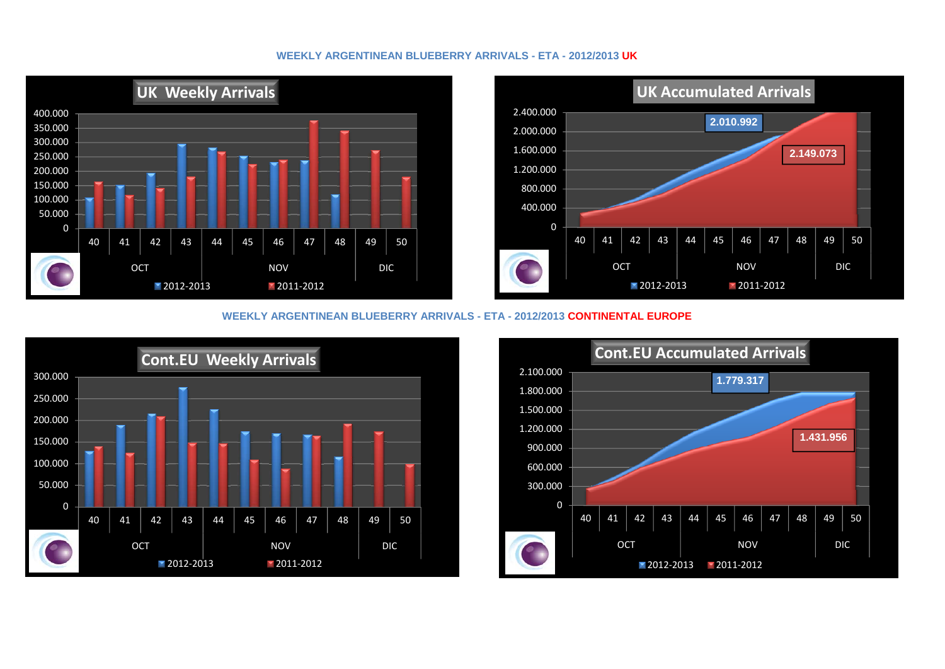# **WEEKLY ARGENTINEAN BLUEBERRY ARRIVALS - ETA - 2012/2013 UK**





#### **WEEKLY ARGENTINEAN BLUEBERRY ARRIVALS - ETA - 2012/2013 CONTINENTAL EUROPE**